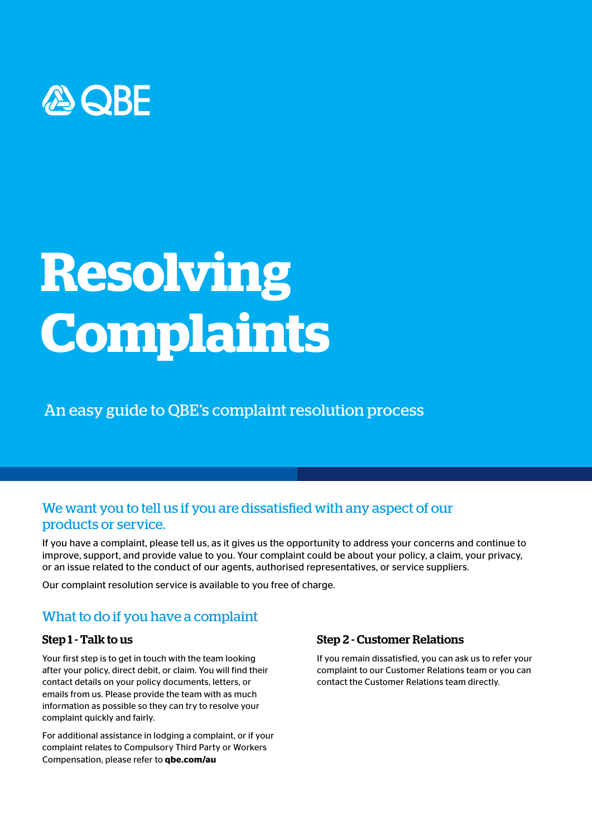

# **Resolving Complaints**

An easy guide to QBE's complaint resolution process

# We want you to tell us if you are dissatisfied with any aspect of our products or service.

If you have a complaint, please tell us, as it gives us the opportunity to address your concerns and continue to improve, support, and provide value to you. Your complaint could be about your policy, a claim, your privacy, or an issue related to the conduct of our agents, authorised representatives, or service suppliers.

Our complaint resolution service is available to you free of charge.

## What to do if you have a complaint

### Step 1 - Talk to us

Your first step is to get in touch with the team looking after your policy, direct debit, or claim. You will find their contact details on your policy documents, letters, or emails from us. Please provide the team with as much information as possible so they can try to resolve your complaint quickly and fairly.

For additional assistance in lodging a complaint, or if your complaint relates to Compulsory Third Party or Workers Compensation, please refer to **qbe.com/au** 

## Step 2 - Customer Relations

If you remain dissatisfied, you can ask us to refer your complaint to our Customer Relations team or you can contact the Customer Relations team directly.